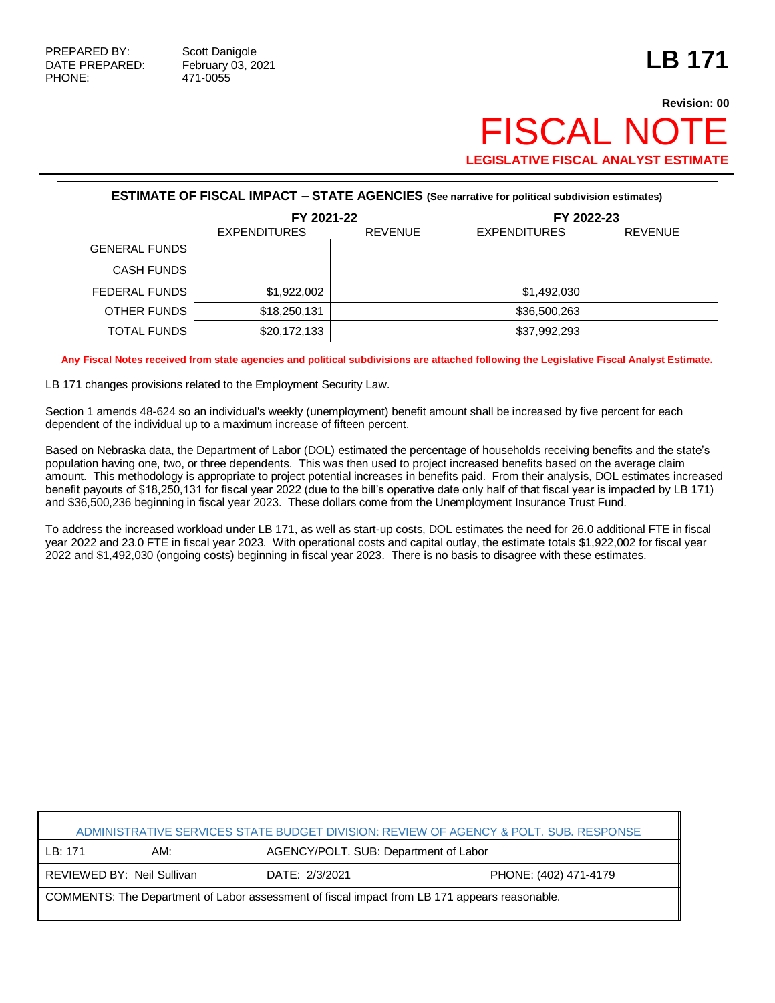## **Revision: 00 FISCAL NO LEGISLATIVE FISCAL ANALYST ESTIMATE**

| <b>ESTIMATE OF FISCAL IMPACT - STATE AGENCIES</b> (See narrative for political subdivision estimates) |                     |                |                     |                |  |
|-------------------------------------------------------------------------------------------------------|---------------------|----------------|---------------------|----------------|--|
|                                                                                                       | FY 2021-22          |                | FY 2022-23          |                |  |
|                                                                                                       | <b>EXPENDITURES</b> | <b>REVENUE</b> | <b>EXPENDITURES</b> | <b>REVENUE</b> |  |
| <b>GENERAL FUNDS</b>                                                                                  |                     |                |                     |                |  |
| <b>CASH FUNDS</b>                                                                                     |                     |                |                     |                |  |
| FEDERAL FUNDS                                                                                         | \$1,922,002         |                | \$1,492,030         |                |  |
| OTHER FUNDS                                                                                           | \$18,250,131        |                | \$36,500,263        |                |  |
| TOTAL FUNDS                                                                                           | \$20,172,133        |                | \$37,992,293        |                |  |

**Any Fiscal Notes received from state agencies and political subdivisions are attached following the Legislative Fiscal Analyst Estimate.**

LB 171 changes provisions related to the Employment Security Law.

Section 1 amends 48-624 so an individual's weekly (unemployment) benefit amount shall be increased by five percent for each dependent of the individual up to a maximum increase of fifteen percent.

Based on Nebraska data, the Department of Labor (DOL) estimated the percentage of households receiving benefits and the state's population having one, two, or three dependents. This was then used to project increased benefits based on the average claim amount. This methodology is appropriate to project potential increases in benefits paid. From their analysis, DOL estimates increased benefit payouts of \$18,250,131 for fiscal year 2022 (due to the bill's operative date only half of that fiscal year is impacted by LB 171) and \$36,500,236 beginning in fiscal year 2023. These dollars come from the Unemployment Insurance Trust Fund.

To address the increased workload under LB 171, as well as start-up costs, DOL estimates the need for 26.0 additional FTE in fiscal year 2022 and 23.0 FTE in fiscal year 2023. With operational costs and capital outlay, the estimate totals \$1,922,002 for fiscal year 2022 and \$1,492,030 (ongoing costs) beginning in fiscal year 2023. There is no basis to disagree with these estimates.

| ADMINISTRATIVE SERVICES STATE BUDGET DIVISION: REVIEW OF AGENCY & POLT, SUB, RESPONSE         |                            |                |                                       |  |  |
|-----------------------------------------------------------------------------------------------|----------------------------|----------------|---------------------------------------|--|--|
| LB:171                                                                                        | AM:                        |                | AGENCY/POLT. SUB: Department of Labor |  |  |
|                                                                                               | REVIEWED BY: Neil Sullivan | DATE: 2/3/2021 | PHONE: (402) 471-4179                 |  |  |
| COMMENTS: The Department of Labor assessment of fiscal impact from LB 171 appears reasonable. |                            |                |                                       |  |  |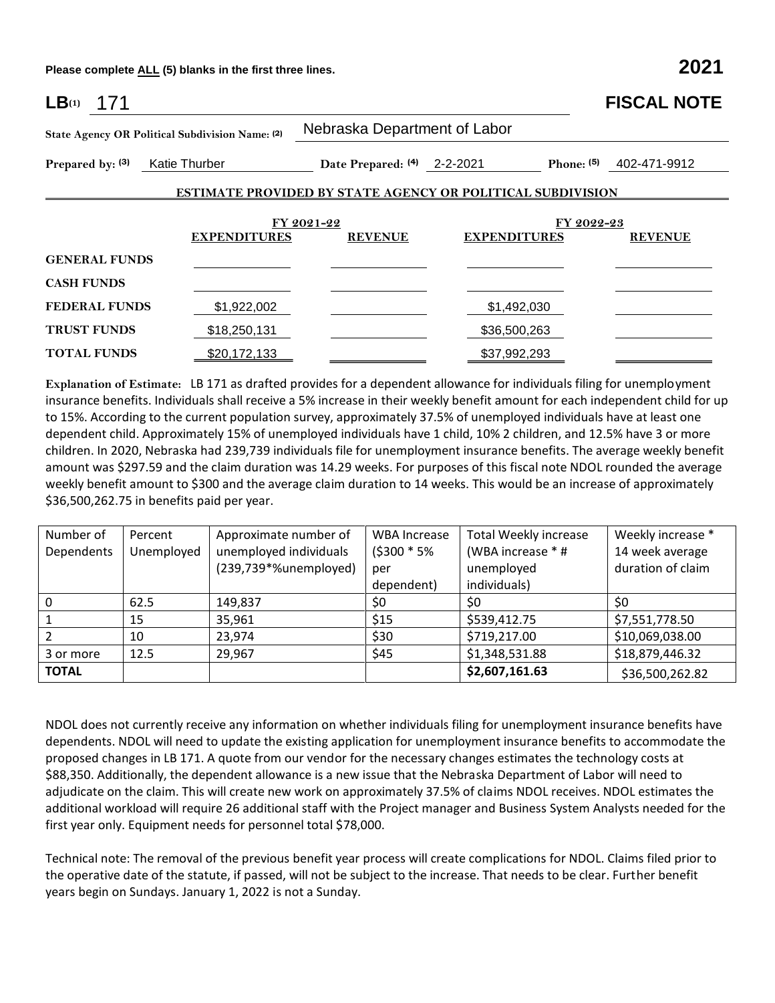**Please complete ALL (5) blanks in the first three lines. 2021**

| LB(1)<br>171                      |                                                 |                              |                                                                   | <b>FISCAL NOTE</b> |  |  |
|-----------------------------------|-------------------------------------------------|------------------------------|-------------------------------------------------------------------|--------------------|--|--|
|                                   | State Agency OR Political Subdivision Name: (2) | Nebraska Department of Labor |                                                                   |                    |  |  |
| Prepared by: (3)<br>Katie Thurber |                                                 | Date Prepared: (4) 2-2-2021  | Phone: (5)                                                        | 402-471-9912       |  |  |
|                                   |                                                 |                              | <b>ESTIMATE PROVIDED BY STATE AGENCY OR POLITICAL SUBDIVISION</b> |                    |  |  |
|                                   |                                                 |                              |                                                                   |                    |  |  |
| <b>EXPENDITURES</b>               |                                                 | FY 2021-22<br><b>REVENUE</b> | FY 2022-23<br><b>EXPENDITURES</b>                                 | <b>REVENUE</b>     |  |  |
| <b>GENERAL FUNDS</b>              |                                                 |                              |                                                                   |                    |  |  |
| <b>CASH FUNDS</b>                 |                                                 |                              |                                                                   |                    |  |  |
| <b>FEDERAL FUNDS</b>              | \$1,922,002                                     |                              | \$1,492,030                                                       |                    |  |  |
| <b>TRUST FUNDS</b>                | \$18,250,131                                    |                              | \$36,500,263                                                      |                    |  |  |
| <b>TOTAL FUNDS</b>                | \$20,172,133                                    |                              | \$37,992,293                                                      |                    |  |  |

**Explanation of Estimate:** LB 171 as drafted provides for a dependent allowance for individuals filing for unemployment insurance benefits. Individuals shall receive a 5% increase in their weekly benefit amount for each independent child for up to 15%. According to the current population survey, approximately 37.5% of unemployed individuals have at least one dependent child. Approximately 15% of unemployed individuals have 1 child, 10% 2 children, and 12.5% have 3 or more children. In 2020, Nebraska had 239,739 individuals file for unemployment insurance benefits. The average weekly benefit amount was \$297.59 and the claim duration was 14.29 weeks. For purposes of this fiscal note NDOL rounded the average weekly benefit amount to \$300 and the average claim duration to 14 weeks. This would be an increase of approximately \$36,500,262.75 in benefits paid per year.

| Number of      | Percent    | Approximate number of  | <b>WBA Increase</b> | <b>Total Weekly increase</b> | Weekly increase * |
|----------------|------------|------------------------|---------------------|------------------------------|-------------------|
| Dependents     | Unemployed | unemployed individuals | (\$300 * 5%         | (WBA increase * #            | 14 week average   |
|                |            | (239,739*%unemployed)  | per                 | unemployed                   | duration of claim |
|                |            |                        | dependent)          | individuals)                 |                   |
| $\Omega$       | 62.5       | 149,837                | \$0                 | \$0                          | \$0               |
|                | 15         | 35,961                 | \$15                | \$539,412.75                 | \$7,551,778.50    |
| $\overline{2}$ | 10         | 23,974                 | \$30                | \$719,217.00                 | \$10,069,038.00   |
| 3 or more      | 12.5       | 29,967                 | \$45                | \$1,348,531.88               | \$18,879,446.32   |
| <b>TOTAL</b>   |            |                        |                     | \$2,607,161.63               | \$36,500,262.82   |

NDOL does not currently receive any information on whether individuals filing for unemployment insurance benefits have dependents. NDOL will need to update the existing application for unemployment insurance benefits to accommodate the proposed changes in LB 171. A quote from our vendor for the necessary changes estimates the technology costs at \$88,350. Additionally, the dependent allowance is a new issue that the Nebraska Department of Labor will need to adjudicate on the claim. This will create new work on approximately 37.5% of claims NDOL receives. NDOL estimates the additional workload will require 26 additional staff with the Project manager and Business System Analysts needed for the first year only. Equipment needs for personnel total \$78,000.

Technical note: The removal of the previous benefit year process will create complications for NDOL. Claims filed prior to the operative date of the statute, if passed, will not be subject to the increase. That needs to be clear. Further benefit years begin on Sundays. January 1, 2022 is not a Sunday.